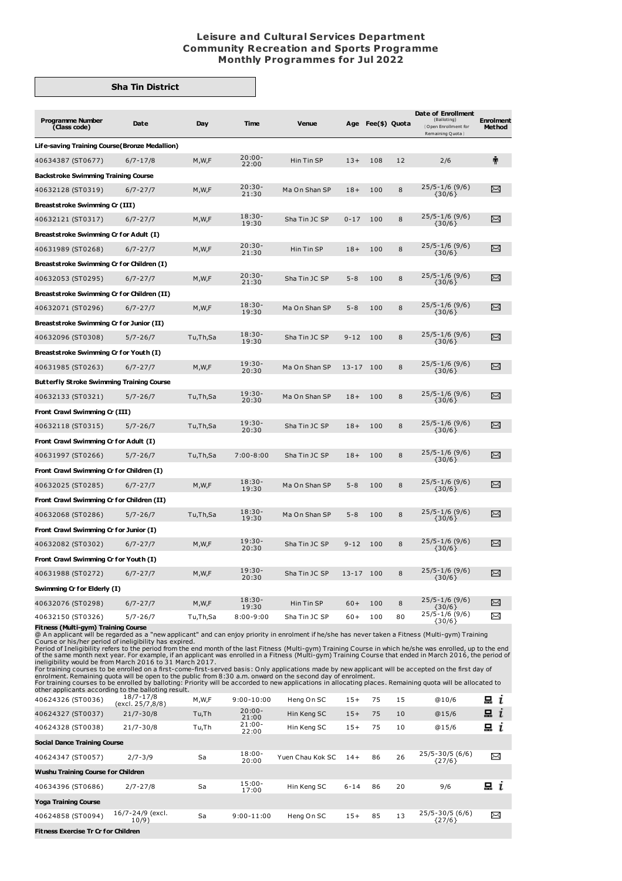## **Leisure and Cultural Services Department Community Recreation and Sports Programme Monthly Programmes for Jul 2022**

## **Sha Tin District**

| <b>Programme Number</b><br>(Class code)          | Date         | Day      | Time               | <b>Venue</b>  |           | Age Fee(\$) Quota |    | Date of Enrollment<br>(Balloting)<br>(Open Enrollment for<br>Remaining Quota } | <b>Enrolment</b><br><b>Method</b> |  |  |
|--------------------------------------------------|--------------|----------|--------------------|---------------|-----------|-------------------|----|--------------------------------------------------------------------------------|-----------------------------------|--|--|
| Life-saving Training Course (Bronze Medallion)   |              |          |                    |               |           |                   |    |                                                                                |                                   |  |  |
| 40634387 (ST0677)                                | $6/7 - 17/8$ | M, W, F  | $20:00 -$<br>22:00 | Hin Tin SP    | $13+$     | 108               | 12 | 2/6                                                                            | Ť                                 |  |  |
| <b>Backstroke Swimming Training Course</b>       |              |          |                    |               |           |                   |    |                                                                                |                                   |  |  |
| 40632128 (ST0319)                                | $6/7 - 27/7$ | M, W, F  | $20:30 -$<br>21:30 | Ma On Shan SP | $18+$     | 100               | 8  | $25/5 - 1/6$ (9/6)<br>${30/6}$                                                 | ⊠                                 |  |  |
| Breaststroke Swimming Cr (III)                   |              |          |                    |               |           |                   |    |                                                                                |                                   |  |  |
| 40632121 (ST0317)                                | $6/7 - 27/7$ | M, W, F  | $18:30-$<br>19:30  | Sha Tin JC SP | $0 - 17$  | 100               | 8  | $25/5 - 1/6$ (9/6)<br>${30/6}$                                                 | X                                 |  |  |
| Breaststroke Swimming Cr for Adult (I)           |              |          |                    |               |           |                   |    |                                                                                |                                   |  |  |
| 40631989 (ST0268)                                | $6/7 - 27/7$ | M,W,F    | $20:30-$<br>21:30  | Hin Tin SP    | $18+$     | 100               | 8  | $25/5 - 1/6$ (9/6)<br>${30/6}$                                                 | X                                 |  |  |
| Breaststroke Swimming Cr for Children (I)        |              |          |                    |               |           |                   |    |                                                                                |                                   |  |  |
| 40632053 (ST0295)                                | $6/7 - 27/7$ | M, W, F  | $20:30-$<br>21:30  | Sha Tin JC SP | $5 - 8$   | 100               | 8  | $25/5 - 1/6$ (9/6)<br>$\{30/6\}$                                               | $\Join$                           |  |  |
| Breaststroke Swimming Cr for Children (II)       |              |          |                    |               |           |                   |    |                                                                                |                                   |  |  |
| 40632071 (ST0296)                                | $6/7 - 27/7$ | M, W, F  | $18:30-$<br>19:30  | Ma On Shan SP | $5 - 8$   | 100               | 8  | $25/5 - 1/6$ (9/6)<br>$\{30/6\}$                                               | ⊠                                 |  |  |
| Breaststroke Swimming Cr for Junior (II)         |              |          |                    |               |           |                   |    |                                                                                |                                   |  |  |
| 40632096 (ST0308)                                | $5/7 - 26/7$ | Tu,Th,Sa | $18:30-$<br>19:30  | Sha Tin JC SP | $9 - 12$  | 100               | 8  | $25/5 - 1/6$ (9/6)<br>${30/6}$                                                 | X                                 |  |  |
| Breaststroke Swimming Cr for Youth (I)           |              |          |                    |               |           |                   |    |                                                                                |                                   |  |  |
| 40631985 (ST0263)                                | $6/7 - 27/7$ | M, W, F  | $19:30-$<br>20:30  | Ma On Shan SP | $13 - 17$ | 100               | 8  | $25/5 - 1/6$ (9/6)<br>${30/6}$                                                 | X                                 |  |  |
| <b>Butterfly Stroke Swimming Training Course</b> |              |          |                    |               |           |                   |    |                                                                                |                                   |  |  |
| 40632133 (ST0321)                                | $5/7 - 26/7$ | Tu,Th,Sa | $19:30 -$<br>20:30 | Ma On Shan SP | $18+$     | 100               | 8  | $25/5 - 1/6$ (9/6)<br>${30/6}$                                                 | X                                 |  |  |
| Front Crawl Swimming Cr (III)                    |              |          |                    |               |           |                   |    |                                                                                |                                   |  |  |
| 40632118 (ST0315)                                | $5/7 - 26/7$ | Tu,Th,Sa | $19:30 -$<br>20:30 | Sha Tin JC SP | $18+$     | 100               | 8  | $25/5 - 1/6$ (9/6)<br>${30/6}$                                                 | X                                 |  |  |
| Front Crawl Swimming Cr for Adult (I)            |              |          |                    |               |           |                   |    |                                                                                |                                   |  |  |
| 40631997 (ST0266)                                | $5/7 - 26/7$ | Tu,Th,Sa | $7:00 - 8:00$      | Sha Tin JC SP | $18+$     | 100               | 8  | $25/5 - 1/6$ (9/6)<br>$\{30/6\}$                                               | X                                 |  |  |
| Front Crawl Swimming Cr for Children (I)         |              |          |                    |               |           |                   |    |                                                                                |                                   |  |  |
| 40632025 (ST0285)                                | $6/7 - 27/7$ | M, W, F  | $18:30-$<br>19:30  | Ma On Shan SP | $5 - 8$   | 100               | 8  | $25/5 - 1/6$ (9/6)<br>${30/6}$                                                 | ↣                                 |  |  |
| Front Crawl Swimming Cr for Children (II)        |              |          |                    |               |           |                   |    |                                                                                |                                   |  |  |
| 40632068 (ST0286)                                | $5/7 - 26/7$ | Tu,Th,Sa | $18:30-$<br>19:30  | Ma On Shan SP | $5 - 8$   | 100               | 8  | $25/5 - 1/6$ (9/6)<br>${30/6}$                                                 | X                                 |  |  |
| Front Crawl Swimming Cr for Junior (I)           |              |          |                    |               |           |                   |    |                                                                                |                                   |  |  |
| 40632082 (ST0302)                                | $6/7 - 27/7$ | M, W, F  | $19:30-$<br>20:30  | Sha Tin JC SP | $9 - 12$  | 100               | 8  | $25/5 - 1/6$ (9/6)<br>${30/6}$                                                 | X                                 |  |  |
| Front Crawl Swimming Cr for Youth (I)            |              |          |                    |               |           |                   |    |                                                                                |                                   |  |  |
| 40631988 (ST0272)                                | $6/7 - 27/7$ | M, W, F  | $19:30-$<br>20:30  | Sha Tin JC SP | $13 - 17$ | 100               | 8  | $25/5 - 1/6$ (9/6)<br>$\{30/6\}$                                               | X                                 |  |  |
| Swimming Cr for Elderly (I)                      |              |          |                    |               |           |                   |    |                                                                                |                                   |  |  |
| 40632076 (ST0298)                                | $6/7 - 27/7$ | M,W,F    | $18:30-$<br>19:30  | Hin Tin SP    | $60+$     | 100               | 8  | $25/5 - 1/6$ (9/6)<br>${30/6}$                                                 | X                                 |  |  |
| 40632150 (ST0326)                                | $5/7 - 26/7$ | Tu,Th,Sa | $8:00 - 9:00$      | Sha Tin JC SP | $60+$     | 100               | 80 | $25/5 - 1/6$ (9/6)<br>${30/6}$                                                 | X                                 |  |  |

40632150 (ST0326) 5/7-26/7 Tu,Th,Sa 8:00-9:00 Sha Tin JC SP 60+ 100 80 23/3-1/0 (30/6) Example <br>
Fitness (Multi-gym) Training Course<br>
Course or his/her period of ineligibility has expired.<br>
Course or his/her period of ine

| 40624326 (ST0036)                          | $1011 - 110$<br>(excl. 25/7,8/8) | M,W,F | $9:00 - 10:00$     | Heng On SC       | $15+$    | 75 | 15 | @10/6                           | 느<br>ı            |
|--------------------------------------------|----------------------------------|-------|--------------------|------------------|----------|----|----|---------------------------------|-------------------|
| 40624327 (ST0037)                          | $21/7 - 30/8$                    | Tu,Th | $20:00 -$<br>21:00 | Hin Keng SC      | $15+$    | 75 | 10 | @15/6                           | 묘<br>$\mathbf{I}$ |
| 40624328 (ST0038)                          | $21/7 - 30/8$                    | Tu,Th | $21:00-$<br>22:00  | Hin Keng SC      | $15+$    | 75 | 10 | @15/6                           | $x_i$             |
| <b>Social Dance Training Course</b>        |                                  |       |                    |                  |          |    |    |                                 |                   |
| 40624347 (ST0057)                          | $2/7 - 3/9$                      | Sa    | $18:00 -$<br>20:00 | Yuen Chau Kok SC | $14+$    | 86 | 26 | 25/5-30/5 (6/6)<br>${27/6}$     | X                 |
| Wushu Training Course for Children         |                                  |       |                    |                  |          |    |    |                                 |                   |
| 40634396 (ST0686)                          | $2/7 - 27/8$                     | Sa    | $15:00 -$<br>17:00 | Hin Keng SC      | $6 - 14$ | 86 | 20 | 9/6                             | i                 |
| <b>Yoga Training Course</b>                |                                  |       |                    |                  |          |    |    |                                 |                   |
| 40624858 (ST0094)                          | 16/7-24/9 (excl.<br>10/9)        | Sa    | $9:00 - 11:00$     | Heng On SC       | $15+$    | 85 | 13 | $25/5 - 30/5$ (6/6)<br>${27/6}$ | X                 |
| <b>Fitness Exercise Tr Cr for Children</b> |                                  |       |                    |                  |          |    |    |                                 |                   |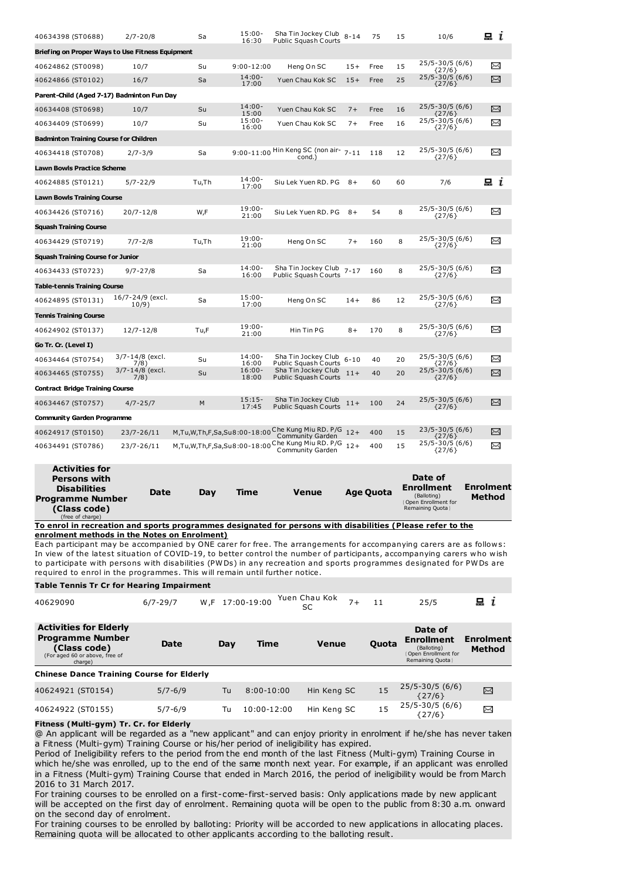| 40634398 (ST0688)                                | $2/7 - 20/8$              | Sa                          | $15:00 -$<br>16:30 | Sha Tin Jockey Club<br><b>Public Squash Courts</b>                   | $8 - 14$ | 75   | 15 | 10/6                           | 묘<br>$\mathbf{I}$ |
|--------------------------------------------------|---------------------------|-----------------------------|--------------------|----------------------------------------------------------------------|----------|------|----|--------------------------------|-------------------|
| Briefing on Proper Ways to Use Fitness Equipment |                           |                             |                    |                                                                      |          |      |    |                                |                   |
| 40624862 (ST0098)                                | 10/7                      | Su                          | $9:00 - 12:00$     | Heng On SC                                                           | $15+$    | Free | 15 | 25/5-30/5 (6/6)<br>${27/6}$    | $\Join$           |
| 40624866 (ST0102)                                | 16/7                      | Sa                          | $14:00 -$<br>17:00 | Yuen Chau Kok SC                                                     | $15+$    | Free | 25 | 25/5-30/5 (6/6)<br>${27/6}$    | X                 |
| Parent-Child (Aged 7-17) Badminton Fun Day       |                           |                             |                    |                                                                      |          |      |    |                                |                   |
| 40634408 (ST0698)                                | 10/7                      | Su                          | $14:00 -$<br>15:00 | Yuen Chau Kok SC                                                     | $7+$     | Free | 16 | $25/5 - 30/5(6/6)$<br>${27/6}$ | X                 |
| 40634409 (ST0699)                                | 10/7                      | Su                          | $15:00 -$<br>16:00 | Yuen Chau Kok SC                                                     | $7+$     | Free | 16 | 25/5-30/5 (6/6)<br>${27/6}$    | ⊠                 |
| <b>Badminton Training Course for Children</b>    |                           |                             |                    |                                                                      |          |      |    |                                |                   |
| 40634418 (ST0708)                                | $2/7 - 3/9$               | Sa                          |                    | 9:00-11:00 Hin Keng SC (non air-<br>cond.)                           | $7 - 11$ | 118  | 12 | 25/5-30/5 (6/6)<br>${27/6}$    | X                 |
| <b>Lawn Bowls Practice Scheme</b>                |                           |                             |                    |                                                                      |          |      |    |                                |                   |
| 40624885 (ST0121)                                | $5/7 - 22/9$              | Tu,Th                       | $14:00 -$<br>17:00 | Siu Lek Yuen RD. PG                                                  | $8+$     | 60   | 60 | 7/6                            | 묘 i               |
| <b>Lawn Bowls Training Course</b>                |                           |                             |                    |                                                                      |          |      |    |                                |                   |
| 40634426 (ST0716)                                | $20/7 - 12/8$             | W,F                         | $19:00 -$<br>21:00 | Siu Lek Yuen RD. PG                                                  | $8+$     | 54   | 8  | 25/5-30/5 (6/6)<br>${27/6}$    | X                 |
| <b>Squash Training Course</b>                    |                           |                             |                    |                                                                      |          |      |    |                                |                   |
| 40634429 (ST0719)                                | $7/7 - 2/8$               | Tu,Th                       | $19:00 -$<br>21:00 | Heng On SC                                                           | $7+$     | 160  | 8  | 25/5-30/5 (6/6)<br>${27/6}$    | X                 |
| <b>Squash Training Course for Junior</b>         |                           |                             |                    |                                                                      |          |      |    |                                |                   |
| 40634433 (ST0723)                                | $9/7 - 27/8$              | Sa                          | $14:00 -$<br>16:00 | Sha Tin Jockey Club<br>Public Squash Courts                          | $7 - 17$ | 160  | 8  | 25/5-30/5 (6/6)<br>${27/6}$    | X                 |
| <b>Table-tennis Training Course</b>              |                           |                             |                    |                                                                      |          |      |    |                                |                   |
| 40624895 (ST0131)                                | 16/7-24/9 (excl.<br>10/9) | Sa                          | $15:00 -$<br>17:00 | Heng On SC                                                           | $14+$    | 86   | 12 | 25/5-30/5 (6/6)<br>${27/6}$    | $\Join$           |
| <b>Tennis Training Course</b>                    |                           |                             |                    |                                                                      |          |      |    |                                |                   |
| 40624902 (ST0137)                                | $12/7 - 12/8$             | Tu.F                        | $19:00 -$<br>21:00 | Hin Tin PG                                                           | $8+$     | 170  | 8  | 25/5-30/5 (6/6)<br>${27/6}$    | X                 |
| Go Tr. Cr. (Level I)                             |                           |                             |                    |                                                                      |          |      |    |                                |                   |
| 40634464 (ST0754)                                | 3/7-14/8 (excl.<br>7/8)   | Su                          | $14:00 -$<br>16:00 | Sha Tin Jockey Club<br>Public Squash Courts                          | $6 - 10$ | 40   | 20 | 25/5-30/5 (6/6)<br>${27/6}$    | ≻≺                |
| 40634465 (ST0755)                                | 3/7-14/8 (excl.<br>7/8)   | Su                          | $16:00 -$<br>18:00 | Sha Tin Jockey Club<br><b>Public Squash Courts</b>                   | $11+$    | 40   | 20 | 25/5-30/5 (6/6)<br>${27/6}$    | X                 |
| <b>Contract Bridge Training Course</b>           |                           |                             |                    |                                                                      |          |      |    |                                |                   |
| 40634467 (ST0757)                                | $4/7 - 25/7$              | M                           | $15:15-$<br>17:45  | Sha Tin Jockey Club<br><b>Public Squash Courts</b>                   | $11+$    | 100  | 24 | 25/5-30/5 (6/6)<br>${27/6}$    | X                 |
| <b>Community Garden Programme</b>                |                           |                             |                    |                                                                      |          |      |    |                                |                   |
| 40624917 (ST0150)                                | 23/7-26/11                |                             |                    | M,Tu,W,Th,F,Sa,Su8:00-18:00 Che Kung Miu RD. P/G<br>Community Garden | $12+$    | 400  | 15 | 23/5-30/5 (6/6)<br>${27/6}$    | χ                 |
| 40634491 (ST0786)                                | 23/7-26/11                | M,Tu,W,Th,F,Sa,Su8:00-18:00 |                    | Che Kung Miu RD. P/G<br>Community Garden                             | $12+$    | 400  | 15 | 25/5-30/5 (6/6)<br>${27/6}$    | X                 |

| <b>Activities for</b><br><b>Persons with</b><br><b>Disabilities</b><br><b>Programme Number</b><br>(Class code)<br>(free of charge) | Date | Dav | Time | Venue | Age Quota | Date of<br><b>Enrollment</b><br>(Balloting)<br><b>Open Enrollment for</b><br>Remaining Quota | Enrolment<br><b>Method</b> |
|------------------------------------------------------------------------------------------------------------------------------------|------|-----|------|-------|-----------|----------------------------------------------------------------------------------------------|----------------------------|
| . .<br>$ -$                                                                                                                        |      |     | .    |       | .<br>.    | $\sim$ $ \sim$<br>.                                                                          |                            |

**To enrol in recreation and sports programmes designated for persons with disabilities (Please refer to the enrolment methods in the Notes on Enrolment)**

Each participant may be accompanied by ONE carer for free. The arrangements for accompanying carers are as follows: In view of the latest situation of COVID-19, to better control the number of participants, accompanying carers who wish to participate with persons with disabilities (PWDs) in any recreation and sports programmes designated for PWDs are required to enrol in the programmes. This will remain until further notice.

## **Table Tennis Tr Cr for Hearing Impairment**

| 40629090                                                                                                              | $6/7 - 29/7$ | W.F 17:00-19:00 |                | Yuen Chau Kok<br>SC | $7+$<br>11 | 25/5                                                                                           | i                          |
|-----------------------------------------------------------------------------------------------------------------------|--------------|-----------------|----------------|---------------------|------------|------------------------------------------------------------------------------------------------|----------------------------|
| <b>Activities for Elderly</b><br><b>Programme Number</b><br>(Class code)<br>(For aged 60 or above, free of<br>charge) | Date         | Day             | Time           | <b>Venue</b>        | Quota      | Date of<br><b>Enrollment</b><br>(Balloting)<br><b>Open Enrollment for</b><br>Remaining Quota } | Enrolment<br><b>Method</b> |
| <b>Chinese Dance Training Course for Elderly</b>                                                                      |              |                 |                |                     |            |                                                                                                |                            |
| 40624921 (ST0154)                                                                                                     | $5/7 - 6/9$  | Tu              | $8:00 - 10:00$ | Hin Keng SC         | 15         | $25/5 - 30/5$ (6/6)<br>${27/6}$                                                                | X                          |
| 40624922 (ST0155)                                                                                                     | $5/7 - 6/9$  | Tu              | 10:00-12:00    | Hin Keng SC         | 15         | $25/5 - 30/5$ (6/6)<br>${27/6}$                                                                | X                          |

## **Fitness (Multi-gym) Tr. Cr. for Elderly**

@ An applicant will be regarded as a "new applicant" and can enjoy priority in enrolment if he/she has never taken a Fitness (Multi-gym) Training Course or his/her period of ineligibility has expired.

Period of Ineligibility refers to the period from the end month of the last Fitness (Multi-gym) Training Course in which he/she was enrolled, up to the end of the same month next year. For example, if an applicant was enrolled in a Fitness (Multi-gym) Training Course that ended in March 2016, the period of ineligibility would be from March 2016 to 31 March 2017.

For training courses to be enrolled on a first-come-first-served basis: Only applications made by new applicant will be accepted on the first day of enrolment. Remaining quota will be open to the public from 8:30 a.m. onward on the second day of enrolment.

For training courses to be enrolled by balloting: Priority will be accorded to new applications in allocating places. Remaining quota will be allocated to other applicants according to the balloting result.